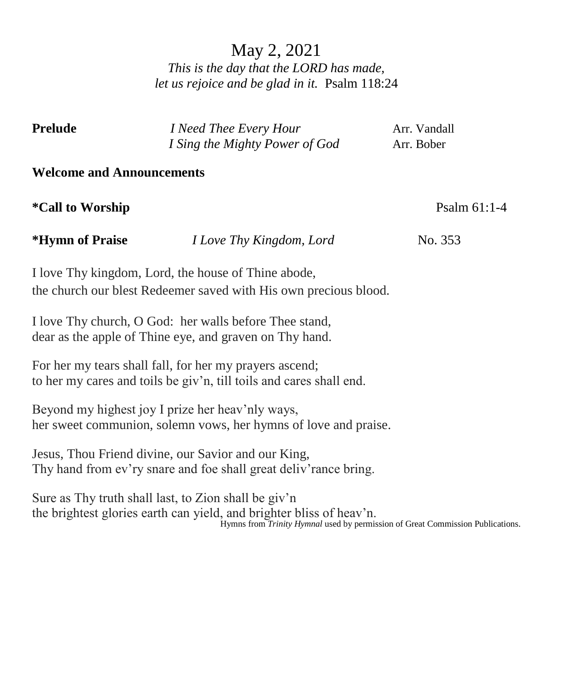# May 2, 2021 *This is the day that the LORD has made, let us rejoice and be glad in it.* Psalm 118:24

| <b>Prelude</b>                                                                                                          | I Need Thee Every Hour<br>I Sing the Mighty Power of God                                                                       | Arr. Vandall<br>Arr. Bober                                                     |  |  |  |  |  |  |  |
|-------------------------------------------------------------------------------------------------------------------------|--------------------------------------------------------------------------------------------------------------------------------|--------------------------------------------------------------------------------|--|--|--|--|--|--|--|
| <b>Welcome and Announcements</b>                                                                                        |                                                                                                                                |                                                                                |  |  |  |  |  |  |  |
| <i>*Call to Worship</i>                                                                                                 |                                                                                                                                | Psalm 61:1-4                                                                   |  |  |  |  |  |  |  |
| <i><b>*Hymn of Praise</b></i>                                                                                           | I Love Thy Kingdom, Lord                                                                                                       | No. 353                                                                        |  |  |  |  |  |  |  |
| I love Thy kingdom, Lord, the house of Thine abode,<br>the church our blest Redeemer saved with His own precious blood. |                                                                                                                                |                                                                                |  |  |  |  |  |  |  |
|                                                                                                                         | I love Thy church, O God: her walls before Thee stand,<br>dear as the apple of Thine eye, and graven on Thy hand.              |                                                                                |  |  |  |  |  |  |  |
|                                                                                                                         | For her my tears shall fall, for her my prayers ascend;<br>to her my cares and toils be giv'n, till toils and cares shall end. |                                                                                |  |  |  |  |  |  |  |
|                                                                                                                         | Beyond my highest joy I prize her heav'nly ways,<br>her sweet communion, solemn vows, her hymns of love and praise.            |                                                                                |  |  |  |  |  |  |  |
|                                                                                                                         | Jesus, Thou Friend divine, our Savior and our King,<br>Thy hand from ev'ry snare and foe shall great deliv'rance bring.        |                                                                                |  |  |  |  |  |  |  |
|                                                                                                                         | Sure as Thy truth shall last, to Zion shall be giv'n<br>the brightest glories earth can yield, and brighter bliss of heav'n.   | Hymns from Trinity Hymnal used by permission of Great Commission Publications. |  |  |  |  |  |  |  |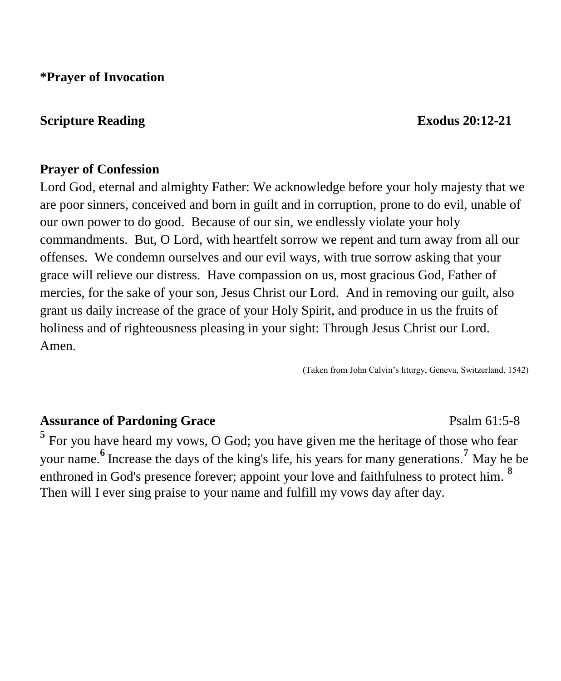**\*Prayer of Invocation** 

## **Scripture Reading Exodus** 20:12-21

### **Prayer of Confession**

Lord God, eternal and almighty Father: We acknowledge before your holy majesty that we are poor sinners, conceived and born in guilt and in corruption, prone to do evil, unable of our own power to do good. Because of our sin, we endlessly violate your holy commandments. But, O Lord, with heartfelt sorrow we repent and turn away from all our offenses. We condemn ourselves and our evil ways, with true sorrow asking that your grace will relieve our distress. Have compassion on us, most gracious God, Father of mercies, for the sake of your son, Jesus Christ our Lord. And in removing our guilt, also grant us daily increase of the grace of your Holy Spirit, and produce in us the fruits of holiness and of righteousness pleasing in your sight: Through Jesus Christ our Lord. Amen.

(Taken from John Calvin's liturgy, Geneva, Switzerland, 1542)

### Assurance of Pardoning Grace **Property** Psalm 61:5-8

<sup>5</sup> For you have heard my vows, O God; you have given me the heritage of those who fear your name. **<sup>6</sup>**Increase the days of the king's life, his years for many generations.**<sup>7</sup>** May he be enthroned in God's presence forever; appoint your love and faithfulness to protect him. **<sup>8</sup>** Then will I ever sing praise to your name and fulfill my vows day after day.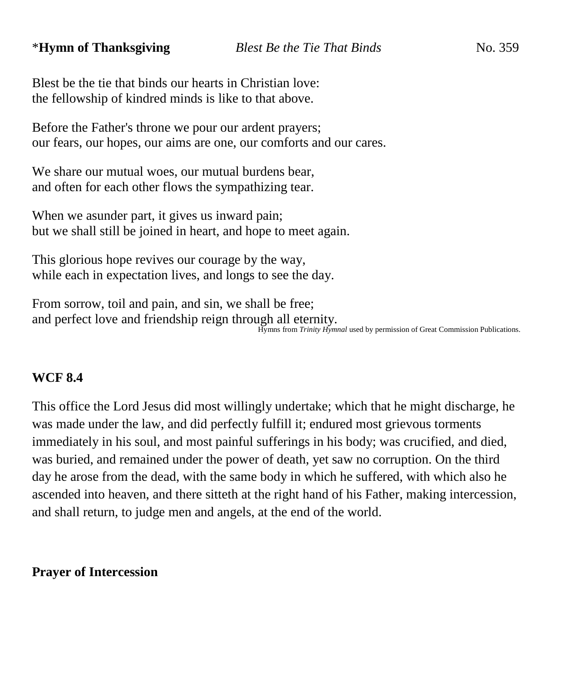## \***Hymn of Thanksgiving** *Blest Be the Tie That Binds*No. 359

Blest be the tie that binds our hearts in Christian love: the fellowship of kindred minds is like to that above.

Before the Father's throne we pour our ardent prayers; our fears, our hopes, our aims are one, our comforts and our cares.

We share our mutual woes, our mutual burdens bear, and often for each other flows the sympathizing tear.

When we asunder part, it gives us inward pain; but we shall still be joined in heart, and hope to meet again.

This glorious hope revives our courage by the way, while each in expectation lives, and longs to see the day.

From sorrow, toil and pain, and sin, we shall be free; and perfect love and friendship reign through all eternity. Hymns from *Trinity Hymnal* used by permission of Great Commission Publications.

## **WCF 8.4**

This office the Lord Jesus did most willingly undertake; which that he might discharge, he was made under the law, and did perfectly fulfill it; endured most grievous torments immediately in his soul, and most painful sufferings in his body; was crucified, and died, was buried, and remained under the power of death, yet saw no corruption. On the third day he arose from the dead, with the same body in which he suffered, with which also he ascended into heaven, and there sitteth at the right hand of his Father, making intercession, and shall return, to judge men and angels, at the end of the world.

### **Prayer of Intercession**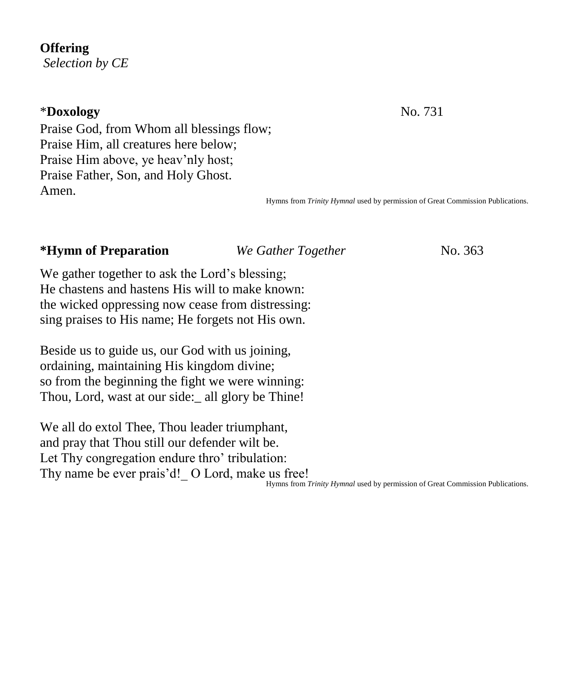### **Offering**

*Selection by CE*

## \***Doxology** No. 731

Praise God, from Whom all blessings flow; Praise Him, all creatures here below; Praise Him above, ye heav'nly host; Praise Father, Son, and Holy Ghost. Amen.

Hymns from *Trinity Hymnal* used by permission of Great Commission Publications.

## **\*Hymn of Preparation** *We Gather Together* No. 363

We gather together to ask the Lord's blessing; He chastens and hastens His will to make known: the wicked oppressing now cease from distressing: sing praises to His name; He forgets not His own.

Beside us to guide us, our God with us joining, ordaining, maintaining His kingdom divine; so from the beginning the fight we were winning: Thou, Lord, wast at our side:\_ all glory be Thine!

We all do extol Thee, Thou leader triumphant, and pray that Thou still our defender wilt be. Let Thy congregation endure thro' tribulation: Thy name be ever prais'd! O Lord, make us free!

Hymns from *Trinity Hymnal* used by permission of Great Commission Publications.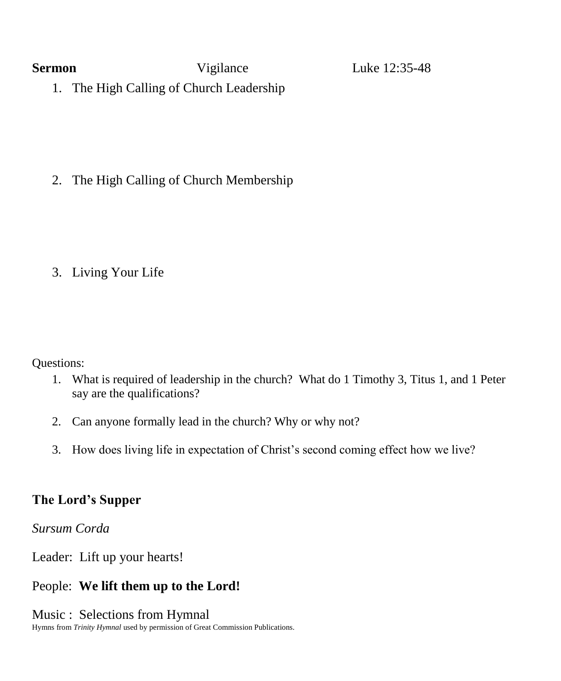**Sermon Vigilance** Luke 12:35-48

1. The High Calling of Church Leadership

2. The High Calling of Church Membership

## 3. Living Your Life

Questions:

- 1. What is required of leadership in the church? What do 1 Timothy 3, Titus 1, and 1 Peter say are the qualifications?
- 2. Can anyone formally lead in the church? Why or why not?
- 3. How does living life in expectation of Christ's second coming effect how we live?

## **The Lord's Supper**

*Sursum Corda*

Leader: Lift up your hearts!

## People: **We lift them up to the Lord!**

Music : Selections from Hymnal

Hymns from *Trinity Hymnal* used by permission of Great Commission Publications.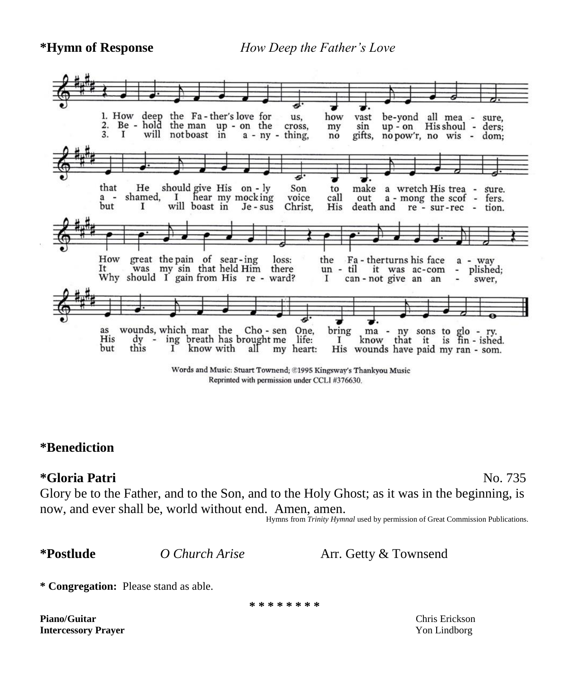**\*Hymn of Response** *How Deep the Father's Love* 



Words and Music: Stuart Townend; ©1995 Kingsway's Thankyou Music Reprinted with permission under CCLI #376630.

## **\*Benediction**

## **\*Gloria Patri** No. 735

Glory be to the Father, and to the Son, and to the Holy Ghost; as it was in the beginning, is now, and ever shall be, world without end. Amen, amen.

Hymns from *Trinity Hymnal* used by permission of Great Commission Publications.

**\*Postlude** *O Church Arise* Arr. Getty & Townsend

**\* Congregation:** Please stand as able.

**\* \* \* \* \* \* \* \***

**Piano/Guitar Chris Exception Chris Erickson** Chris Erickson **Intercessory Prayer** Yon Lindborg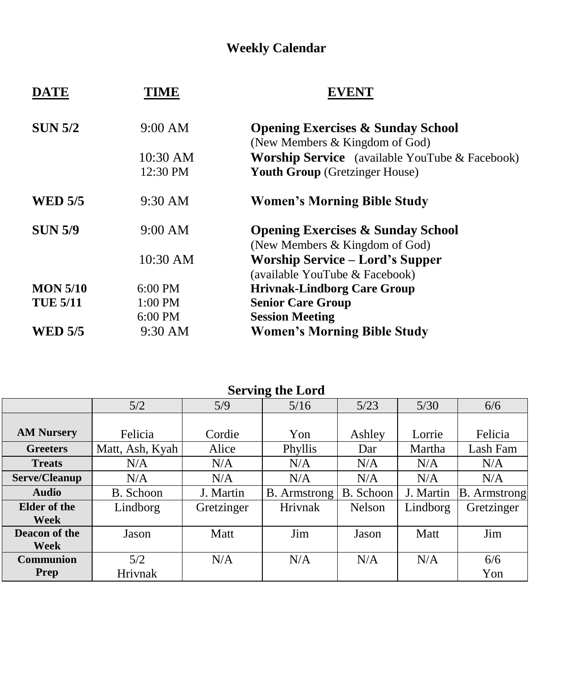## **Weekly Calendar**

| <b>DATE</b>     | IME               |                                                                                |  |  |  |
|-----------------|-------------------|--------------------------------------------------------------------------------|--|--|--|
| <b>SUN 5/2</b>  | 9:00 AM           | <b>Opening Exercises &amp; Sunday School</b><br>(New Members & Kingdom of God) |  |  |  |
|                 | 10:30 AM          | <b>Worship Service</b> (available YouTube & Facebook)                          |  |  |  |
|                 | 12:30 PM          | <b>Youth Group</b> (Gretzinger House)                                          |  |  |  |
| <b>WED 5/5</b>  | $9:30 \text{ AM}$ | <b>Women's Morning Bible Study</b>                                             |  |  |  |
| <b>SUN 5/9</b>  | 9:00 AM           | <b>Opening Exercises &amp; Sunday School</b><br>(New Members & Kingdom of God) |  |  |  |
|                 | 10:30 AM          | <b>Worship Service – Lord's Supper</b><br>(available YouTube & Facebook)       |  |  |  |
| <b>MON 5/10</b> | $6:00 \text{ PM}$ | <b>Hrivnak-Lindborg Care Group</b>                                             |  |  |  |
| <b>TUE 5/11</b> | $1:00$ PM         | <b>Senior Care Group</b>                                                       |  |  |  |
|                 | $6:00$ PM         | <b>Session Meeting</b>                                                         |  |  |  |
| <b>WED 5/5</b>  | 9:30 AM           | <b>Women's Morning Bible Study</b>                                             |  |  |  |

|                   | 5/2             | 5/9         | 5/16                | 5/23          | $5/30$    | 6/6                 |  |  |  |
|-------------------|-----------------|-------------|---------------------|---------------|-----------|---------------------|--|--|--|
|                   |                 |             |                     |               |           |                     |  |  |  |
| <b>AM Nursery</b> | Felicia         | Cordie      | Yon                 | Ashley        | Lorrie    | Felicia             |  |  |  |
| <b>Greeters</b>   | Matt, Ash, Kyah | Alice       | Phyllis             | Dar           | Martha    | Lash Fam            |  |  |  |
| <b>Treats</b>     | N/A             | N/A         | N/A                 | N/A           | N/A       | N/A                 |  |  |  |
| Serve/Cleanup     | N/A             | N/A         | N/A                 | N/A           | N/A       | N/A                 |  |  |  |
| <b>Audio</b>      | B. Schoon       | J. Martin   | <b>B.</b> Armstrong | B. Schoon     | J. Martin | <b>B.</b> Armstrong |  |  |  |
| Elder of the      | Lindborg        | Gretzinger  | Hrivnak             | <b>Nelson</b> | Lindborg  | Gretzinger          |  |  |  |
| Week              |                 |             |                     |               |           |                     |  |  |  |
| Deacon of the     | Jason           | <b>Matt</b> | Jim                 | Jason         | Matt      | Jim                 |  |  |  |
| Week              |                 |             |                     |               |           |                     |  |  |  |
| <b>Communion</b>  | 5/2             | N/A         | N/A                 | N/A           | N/A       | 6/6                 |  |  |  |
| Prep              | Hrivnak         |             |                     |               |           | Yon                 |  |  |  |

# **Serving the Lord**